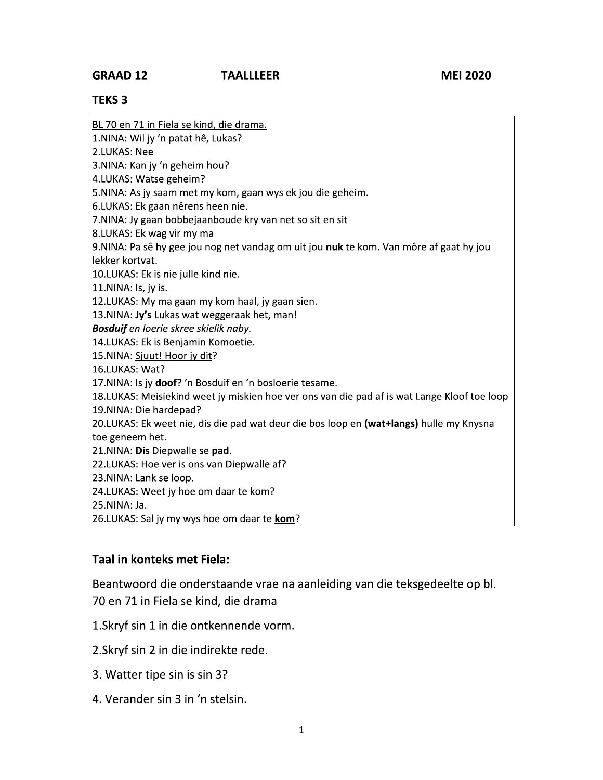## **TEKS 3**

BL 70 en 71 in Fiela se kind, die drama.

1.NINA: Wil jy 'n patat hê, Lukas?

2.LUKAS: Nee

3. NINA: Kan jy 'n geheim hou?

4.LUKAS: Watse geheim?

5. NINA: As jy saam met my kom, gaan wys ek jou die geheim.

6.LUKAS: Ek gaan nêrens heen nie.

7.NINA: Jy gaan bobbejaanboude kry van net so sit en sit

8.LUKAS: Ek wag vir my ma

9. NINA: Pa sê hy gee jou nog net vandag om uit jou nuk te kom. Van môre af gaat hy jou lekker kortvat.

10.LUKAS: Ek is nie julle kind nie.

11.NINA: Is, jy is.

12.LUKAS: My ma gaan my kom haal, jy gaan sien.

13. NINA: Jy's Lukas wat weggeraak het, man!

Bosduif en loerie skree skielik naby.

14.LUKAS: Ek is Benjamin Komoetie.

15.NINA: Sjuut! Hoor jy dit?

16.LUKAS: Wat?

17. NINA: Is jy doof? 'n Bosduif en 'n bosloerie tesame.

18.LUKAS: Meisiekind weet jy miskien hoe ver ons van die pad af is wat Lange Kloof toe loop 19. NINA: Die hardepad?

20.LUKAS: Ek weet nie, dis die pad wat deur die bos loop en (wat+langs) hulle my Knysna toe geneem het.

21.NINA: Dis Diepwalle se pad.

22.LUKAS: Hoe ver is ons van Diepwalle af?

23. NINA: Lank se loop.

24.LUKAS: Weet jy hoe om daar te kom?

25.NINA: Ja.

26.LUKAS: Sal jy my wys hoe om daar te kom?

## Taal in konteks met Fiela:

Beantwoord die onderstaande vrae na aanleiding van die teksgedeelte op bl. 70 en 71 in Fiela se kind, die drama

1. Skryf sin 1 in die ontkennende vorm.

2. Skryf sin 2 in die indirekte rede.

- 3. Watter tipe sin is sin 3?
- 4. Verander sin 3 in 'n stelsin.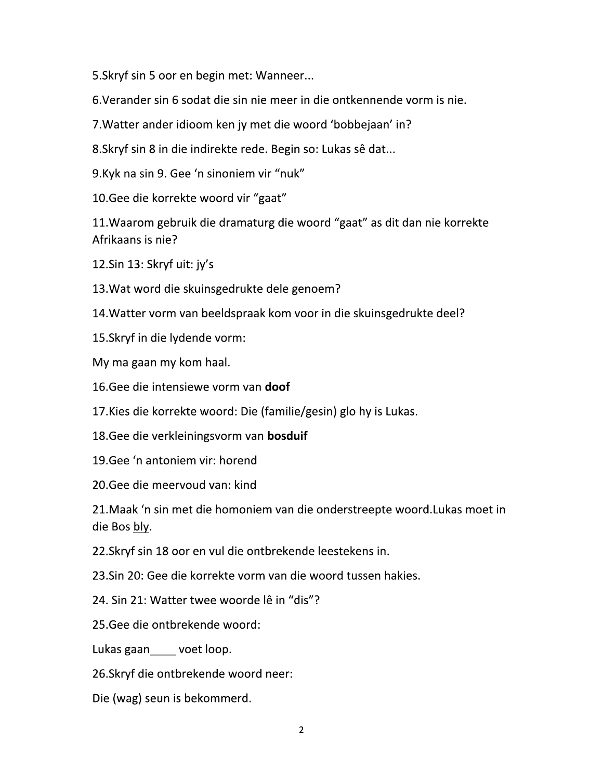5. Skryf sin 5 oor en begin met: Wanneer...

6. Verander sin 6 sodat die sin nie meer in die ontkennende vorm is nie.

7. Watter ander idioom ken jy met die woord 'bobbejaan' in?

8. Skryf sin 8 in die indirekte rede. Begin so: Lukas sê dat...

9.Kyk na sin 9. Gee 'n sinoniem vir "nuk"

10. Gee die korrekte woord vir "gaat"

11. Waarom gebruik die dramaturg die woord "gaat" as dit dan nie korrekte Afrikaans is nie?

12.Sin 13: Skryf uit: jy's

13. Wat word die skuinsgedrukte dele genoem?

14. Watter vorm van beeldspraak kom voor in die skuinsgedrukte deel?

15. Skryf in die lydende vorm:

My ma gaan my kom haal.

16. Gee die intensiewe vorm van doof

17. Kies die korrekte woord: Die (familie/gesin) glo hy is Lukas.

18. Gee die verkleiningsvorm van bosduif

19. Gee 'n antoniem vir: horend

20. Gee die meervoud van: kind

21. Maak 'n sin met die homoniem van die onderstreepte woord. Lukas moet in die Bos bly.

22. Skryf sin 18 oor en vul die ontbrekende leestekens in.

23. Sin 20: Gee die korrekte vorm van die woord tussen hakies.

24. Sin 21: Watter twee woorde lê in "dis"?

25. Gee die ontbrekende woord:

Lukas gaan\_\_\_\_ voet loop.

26. Skryf die ontbrekende woord neer:

Die (wag) seun is bekommerd.